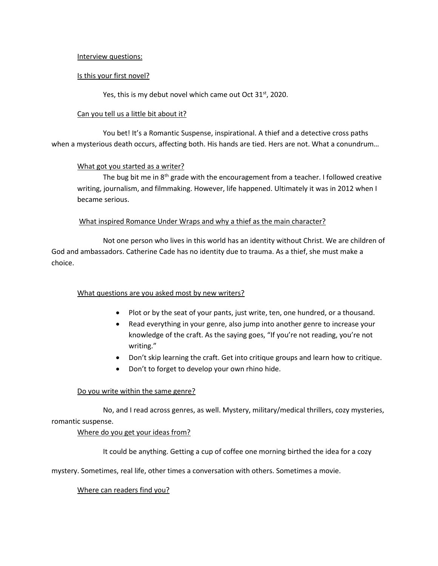## Interview questions:

## Is this your first novel?

Yes, this is my debut novel which came out Oct 31<sup>st</sup>, 2020.

### Can you tell us a little bit about it?

You bet! It's a Romantic Suspense, inspirational. A thief and a detective cross paths when a mysterious death occurs, affecting both. His hands are tied. Hers are not. What a conundrum…

### What got you started as a writer?

The bug bit me in  $8<sup>th</sup>$  grade with the encouragement from a teacher. I followed creative writing, journalism, and filmmaking. However, life happened. Ultimately it was in 2012 when I became serious.

### What inspired Romance Under Wraps and why a thief as the main character?

Not one person who lives in this world has an identity without Christ. We are children of God and ambassadors. Catherine Cade has no identity due to trauma. As a thief, she must make a choice.

# What questions are you asked most by new writers?

- Plot or by the seat of your pants, just write, ten, one hundred, or a thousand.
- Read everything in your genre, also jump into another genre to increase your knowledge of the craft. As the saying goes, "If you're not reading, you're not writing."
- Don't skip learning the craft. Get into critique groups and learn how to critique.
- Don't to forget to develop your own rhino hide.

# Do you write within the same genre?

No, and I read across genres, as well. Mystery, military/medical thrillers, cozy mysteries, romantic suspense.

# Where do you get your ideas from?

It could be anything. Getting a cup of coffee one morning birthed the idea for a cozy

mystery. Sometimes, real life, other times a conversation with others. Sometimes a movie.

#### Where can readers find you?